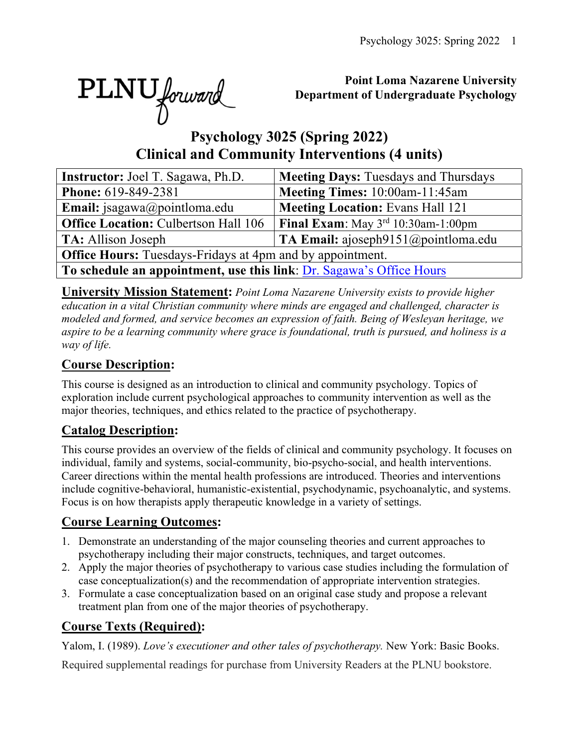

### **Point Loma Nazarene University Department of Undergraduate Psychology**

# **Psychology 3025 (Spring 2022) Clinical and Community Interventions (4 units)**

| Instructor: Joel T. Sagawa, Ph.D.                                    | <b>Meeting Days: Tuesdays and Thursdays</b>    |  |  |  |  |  |  |  |
|----------------------------------------------------------------------|------------------------------------------------|--|--|--|--|--|--|--|
| Phone: 619-849-2381                                                  | Meeting Times: 10:00am-11:45am                 |  |  |  |  |  |  |  |
| <b>Email:</b> jsagawa@pointloma.edu                                  | <b>Meeting Location: Evans Hall 121</b>        |  |  |  |  |  |  |  |
| <b>Office Location: Culbertson Hall 106</b>                          | <b>Final Exam:</b> May $3^{rd}$ 10:30am-1:00pm |  |  |  |  |  |  |  |
| <b>TA:</b> Allison Joseph                                            | TA Email: ajoseph9151@pointloma.edu            |  |  |  |  |  |  |  |
| <b>Office Hours:</b> Tuesdays-Fridays at 4pm and by appointment.     |                                                |  |  |  |  |  |  |  |
| To schedule an appointment, use this link: Dr. Sagawa's Office Hours |                                                |  |  |  |  |  |  |  |

**University Mission Statement:** *Point Loma Nazarene University exists to provide higher education in a vital Christian community where minds are engaged and challenged, character is modeled and formed, and service becomes an expression of faith. Being of Wesleyan heritage, we aspire to be a learning community where grace is foundational, truth is pursued, and holiness is a way of life.*

# **Course Description:**

This course is designed as an introduction to clinical and community psychology. Topics of exploration include current psychological approaches to community intervention as well as the major theories, techniques, and ethics related to the practice of psychotherapy.

# **Catalog Description:**

This course provides an overview of the fields of clinical and community psychology. It focuses on individual, family and systems, social-community, bio-psycho-social, and health interventions. Career directions within the mental health professions are introduced. Theories and interventions include cognitive-behavioral, humanistic-existential, psychodynamic, psychoanalytic, and systems. Focus is on how therapists apply therapeutic knowledge in a variety of settings.

# **Course Learning Outcomes:**

- 1. Demonstrate an understanding of the major counseling theories and current approaches to psychotherapy including their major constructs, techniques, and target outcomes.
- 2. Apply the major theories of psychotherapy to various case studies including the formulation of case conceptualization(s) and the recommendation of appropriate intervention strategies.
- 3. Formulate a case conceptualization based on an original case study and propose a relevant treatment plan from one of the major theories of psychotherapy.

# **Course Texts (Required):**

Yalom, I. (1989). *Love's executioner and other tales of psychotherapy.* New York: Basic Books.

Required supplemental readings for purchase from University Readers at the PLNU bookstore.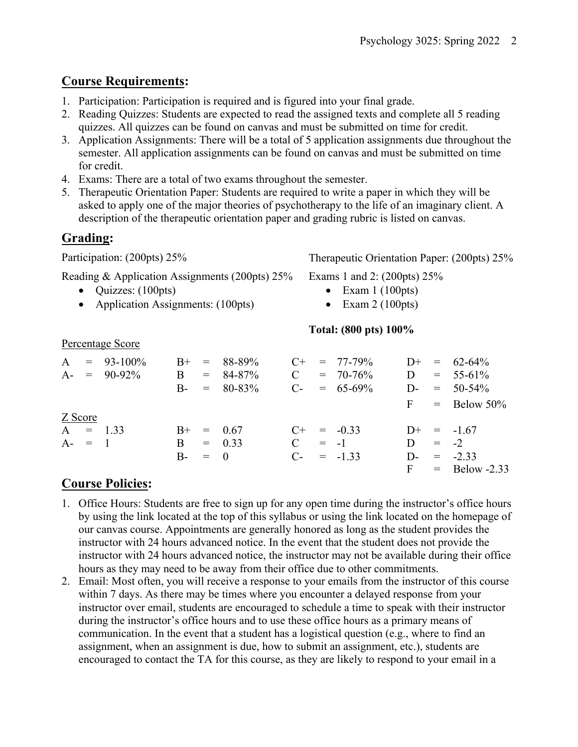# **Course Requirements:**

- 1. Participation: Participation is required and is figured into your final grade.
- 2. Reading Quizzes: Students are expected to read the assigned texts and complete all 5 reading quizzes. All quizzes can be found on canvas and must be submitted on time for credit.
- 3. Application Assignments: There will be a total of 5 application assignments due throughout the semester. All application assignments can be found on canvas and must be submitted on time for credit.
- 4. Exams: There are a total of two exams throughout the semester.
- 5. Therapeutic Orientation Paper: Students are required to write a paper in which they will be asked to apply one of the major theories of psychotherapy to the life of an imaginary client. A description of the therapeutic orientation paper and grading rubric is listed on canvas.

# **Grading:**

Participation: (200pts) 25% Therapeutic Orientation Paper: (200pts) 25%

Reading & Application Assignments (200pts) 25%

- Quizzes: (100pts)
- Application Assignments: (100pts)

Exams 1 and 2: (200pts) 25%

- $\bullet$  Exam 1 (100pts)
- Exam  $2(100pts)$

### **Total: (800 pts) 100%**

|           | $A = 93-100\%$<br>$A - = 90-92\%$ | B.        | $B+ = 88-89\%$<br>$= 84-87\%$<br>$B = 80-83\%$ | $\mathcal{C}$ | $C_{+}$ = 77-79%<br>$= 70-76\%$<br>$C_{-}$ = 65-69% |   | $D^+ = 62-64\%$<br>$D = 55-61\%$<br>$D = 50-54\%$ |
|-----------|-----------------------------------|-----------|------------------------------------------------|---------------|-----------------------------------------------------|---|---------------------------------------------------|
|           |                                   |           |                                                |               |                                                     |   | $F =$ Below 50%                                   |
| Z Score   | $A = 1.33$                        |           | $B^+ = 0.67$                                   |               | $C^+$ = -0.33                                       |   | $D^+ = -1.67$                                     |
| $A - = 1$ |                                   |           | $B = 0.33$                                     | $\mathbf C$   | $=$ $-1$                                            | D | $=$ $-2$                                          |
|           |                                   | $B - = 0$ |                                                |               | $C_{-}$ = -1.33                                     |   | $D = -2.33$                                       |
|           |                                   |           |                                                |               |                                                     |   | $F = Below -2.33$                                 |

# **Course Policies:**

Percentage Score

- 1. Office Hours: Students are free to sign up for any open time during the instructor's office hours by using the link located at the top of this syllabus or using the link located on the homepage of our canvas course. Appointments are generally honored as long as the student provides the instructor with 24 hours advanced notice. In the event that the student does not provide the instructor with 24 hours advanced notice, the instructor may not be available during their office hours as they may need to be away from their office due to other commitments.
- 2. Email: Most often, you will receive a response to your emails from the instructor of this course within 7 days. As there may be times where you encounter a delayed response from your instructor over email, students are encouraged to schedule a time to speak with their instructor during the instructor's office hours and to use these office hours as a primary means of communication. In the event that a student has a logistical question (e.g., where to find an assignment, when an assignment is due, how to submit an assignment, etc.), students are encouraged to contact the TA for this course, as they are likely to respond to your email in a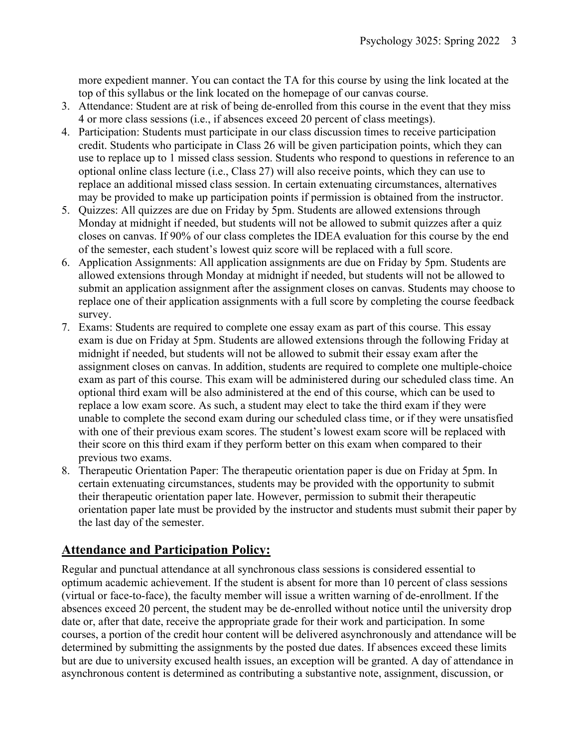more expedient manner. You can contact the TA for this course by using the link located at the top of this syllabus or the link located on the homepage of our canvas course.

- 3. Attendance: Student are at risk of being de-enrolled from this course in the event that they miss 4 or more class sessions (i.e., if absences exceed 20 percent of class meetings).
- 4. Participation: Students must participate in our class discussion times to receive participation credit. Students who participate in Class 26 will be given participation points, which they can use to replace up to 1 missed class session. Students who respond to questions in reference to an optional online class lecture (i.e., Class 27) will also receive points, which they can use to replace an additional missed class session. In certain extenuating circumstances, alternatives may be provided to make up participation points if permission is obtained from the instructor.
- 5. Quizzes: All quizzes are due on Friday by 5pm. Students are allowed extensions through Monday at midnight if needed, but students will not be allowed to submit quizzes after a quiz closes on canvas. If 90% of our class completes the IDEA evaluation for this course by the end of the semester, each student's lowest quiz score will be replaced with a full score.
- 6. Application Assignments: All application assignments are due on Friday by 5pm. Students are allowed extensions through Monday at midnight if needed, but students will not be allowed to submit an application assignment after the assignment closes on canvas. Students may choose to replace one of their application assignments with a full score by completing the course feedback survey.
- 7. Exams: Students are required to complete one essay exam as part of this course. This essay exam is due on Friday at 5pm. Students are allowed extensions through the following Friday at midnight if needed, but students will not be allowed to submit their essay exam after the assignment closes on canvas. In addition, students are required to complete one multiple-choice exam as part of this course. This exam will be administered during our scheduled class time. An optional third exam will be also administered at the end of this course, which can be used to replace a low exam score. As such, a student may elect to take the third exam if they were unable to complete the second exam during our scheduled class time, or if they were unsatisfied with one of their previous exam scores. The student's lowest exam score will be replaced with their score on this third exam if they perform better on this exam when compared to their previous two exams.
- 8. Therapeutic Orientation Paper: The therapeutic orientation paper is due on Friday at 5pm. In certain extenuating circumstances, students may be provided with the opportunity to submit their therapeutic orientation paper late. However, permission to submit their therapeutic orientation paper late must be provided by the instructor and students must submit their paper by the last day of the semester.

# **Attendance and Participation Policy:**

Regular and punctual attendance at all synchronous class sessions is considered essential to optimum academic achievement. If the student is absent for more than 10 percent of class sessions (virtual or face-to-face), the faculty member will issue a written warning of de-enrollment. If the absences exceed 20 percent, the student may be de-enrolled without notice until the university drop date or, after that date, receive the appropriate grade for their work and participation. In some courses, a portion of the credit hour content will be delivered asynchronously and attendance will be determined by submitting the assignments by the posted due dates. If absences exceed these limits but are due to university excused health issues, an exception will be granted. A day of attendance in asynchronous content is determined as contributing a substantive note, assignment, discussion, or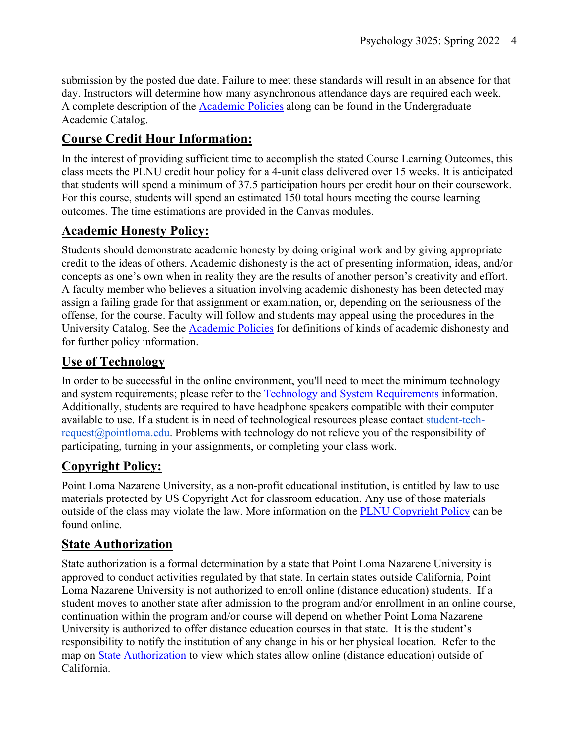submission by the posted due date. Failure to meet these standards will result in an absence for that day. Instructors will determine how many asynchronous attendance days are required each week. A complete description of the Academic Policies along can be found in the Undergraduate Academic Catalog.

# **Course Credit Hour Information:**

In the interest of providing sufficient time to accomplish the stated Course Learning Outcomes, this class meets the PLNU credit hour policy for a 4-unit class delivered over 15 weeks. It is anticipated that students will spend a minimum of 37.5 participation hours per credit hour on their coursework. For this course, students will spend an estimated 150 total hours meeting the course learning outcomes. The time estimations are provided in the Canvas modules.

# **Academic Honesty Policy:**

Students should demonstrate academic honesty by doing original work and by giving appropriate credit to the ideas of others. Academic dishonesty is the act of presenting information, ideas, and/or concepts as one's own when in reality they are the results of another person's creativity and effort. A faculty member who believes a situation involving academic dishonesty has been detected may assign a failing grade for that assignment or examination, or, depending on the seriousness of the offense, for the course. Faculty will follow and students may appeal using the procedures in the University Catalog. See the Academic Policies for definitions of kinds of academic dishonesty and for further policy information.

# **Use of Technology**

In order to be successful in the online environment, you'll need to meet the minimum technology and system requirements; please refer to the Technology and System Requirements information. Additionally, students are required to have headphone speakers compatible with their computer available to use. If a student is in need of technological resources please contact student-techrequest@pointloma.edu. Problems with technology do not relieve you of the responsibility of participating, turning in your assignments, or completing your class work.

# **Copyright Policy:**

Point Loma Nazarene University, as a non-profit educational institution, is entitled by law to use materials protected by US Copyright Act for classroom education. Any use of those materials outside of the class may violate the law. More information on the **PLNU** Copyright Policy can be found online.

# **State Authorization**

State authorization is a formal determination by a state that Point Loma Nazarene University is approved to conduct activities regulated by that state. In certain states outside California, Point Loma Nazarene University is not authorized to enroll online (distance education) students. If a student moves to another state after admission to the program and/or enrollment in an online course, continuation within the program and/or course will depend on whether Point Loma Nazarene University is authorized to offer distance education courses in that state. It is the student's responsibility to notify the institution of any change in his or her physical location. Refer to the map on State Authorization to view which states allow online (distance education) outside of California.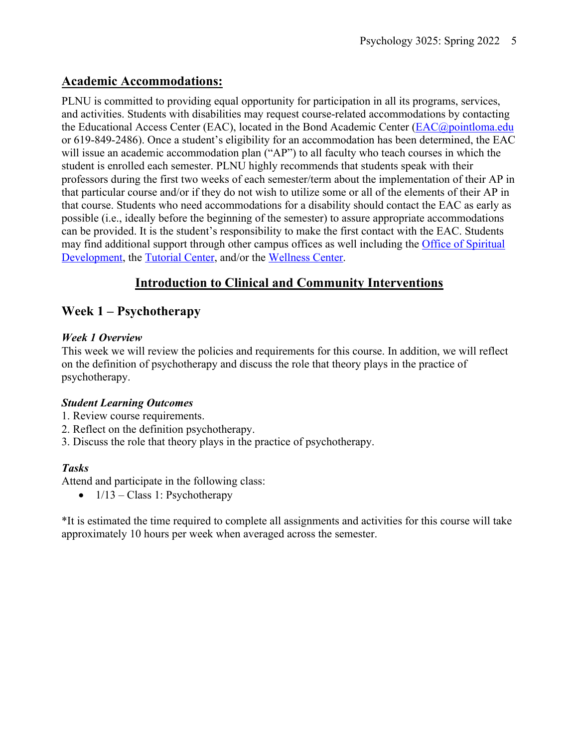### **Academic Accommodations:**

PLNU is committed to providing equal opportunity for participation in all its programs, services, and activities. Students with disabilities may request course-related accommodations by contacting the Educational Access Center (EAC), located in the Bond Academic Center (EAC@pointloma.edu or 619-849-2486). Once a student's eligibility for an accommodation has been determined, the EAC will issue an academic accommodation plan ("AP") to all faculty who teach courses in which the student is enrolled each semester. PLNU highly recommends that students speak with their professors during the first two weeks of each semester/term about the implementation of their AP in that particular course and/or if they do not wish to utilize some or all of the elements of their AP in that course. Students who need accommodations for a disability should contact the EAC as early as possible (i.e., ideally before the beginning of the semester) to assure appropriate accommodations can be provided. It is the student's responsibility to make the first contact with the EAC. Students may find additional support through other campus offices as well including the Office of Spiritual Development, the Tutorial Center, and/or the Wellness Center.

# **Introduction to Clinical and Community Interventions**

### **Week 1 – Psychotherapy**

#### *Week 1 Overview*

This week we will review the policies and requirements for this course. In addition, we will reflect on the definition of psychotherapy and discuss the role that theory plays in the practice of psychotherapy.

### *Student Learning Outcomes*

- 1. Review course requirements.
- 2. Reflect on the definition psychotherapy.
- 3. Discuss the role that theory plays in the practice of psychotherapy.

### *Tasks*

Attend and participate in the following class:

•  $1/13 - Class 1$ : Psychotherapy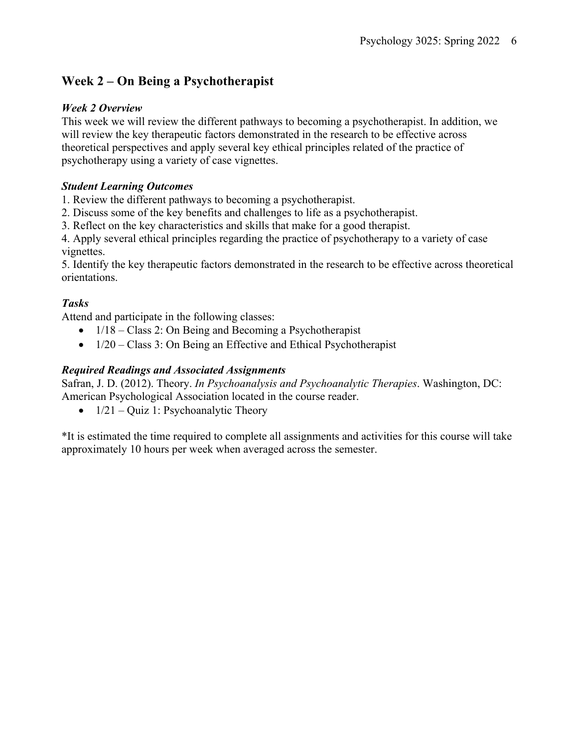# **Week 2 – On Being a Psychotherapist**

#### *Week 2 Overview*

This week we will review the different pathways to becoming a psychotherapist. In addition, we will review the key therapeutic factors demonstrated in the research to be effective across theoretical perspectives and apply several key ethical principles related of the practice of psychotherapy using a variety of case vignettes.

#### *Student Learning Outcomes*

1. Review the different pathways to becoming a psychotherapist.

2. Discuss some of the key benefits and challenges to life as a psychotherapist.

3. Reflect on the key characteristics and skills that make for a good therapist.

4. Apply several ethical principles regarding the practice of psychotherapy to a variety of case vignettes.

5. Identify the key therapeutic factors demonstrated in the research to be effective across theoretical orientations.

### *Tasks*

Attend and participate in the following classes:

- 1/18 Class 2: On Being and Becoming a Psychotherapist
- $\bullet$  1/20 Class 3: On Being an Effective and Ethical Psychotherapist

### *Required Readings and Associated Assignments*

Safran, J. D. (2012). Theory. *In Psychoanalysis and Psychoanalytic Therapies*. Washington, DC: American Psychological Association located in the course reader.

• 1/21 – Ouiz 1: Psychoanalytic Theory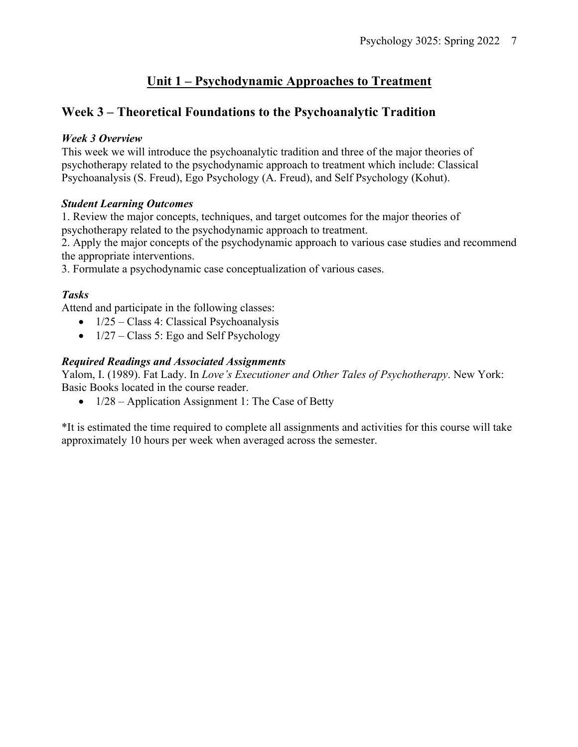# **Unit 1 – Psychodynamic Approaches to Treatment**

### **Week 3 – Theoretical Foundations to the Psychoanalytic Tradition**

#### *Week 3 Overview*

This week we will introduce the psychoanalytic tradition and three of the major theories of psychotherapy related to the psychodynamic approach to treatment which include: Classical Psychoanalysis (S. Freud), Ego Psychology (A. Freud), and Self Psychology (Kohut).

#### *Student Learning Outcomes*

1. Review the major concepts, techniques, and target outcomes for the major theories of psychotherapy related to the psychodynamic approach to treatment.

2. Apply the major concepts of the psychodynamic approach to various case studies and recommend the appropriate interventions.

3. Formulate a psychodynamic case conceptualization of various cases.

### *Tasks*

Attend and participate in the following classes:

- $1/25 Class 4$ : Classical Psychoanalysis
- $1/27 Class 5$ : Ego and Self Psychology

### *Required Readings and Associated Assignments*

Yalom, I. (1989). Fat Lady. In *Love's Executioner and Other Tales of Psychotherapy*. New York: Basic Books located in the course reader.

•  $1/28$  – Application Assignment 1: The Case of Betty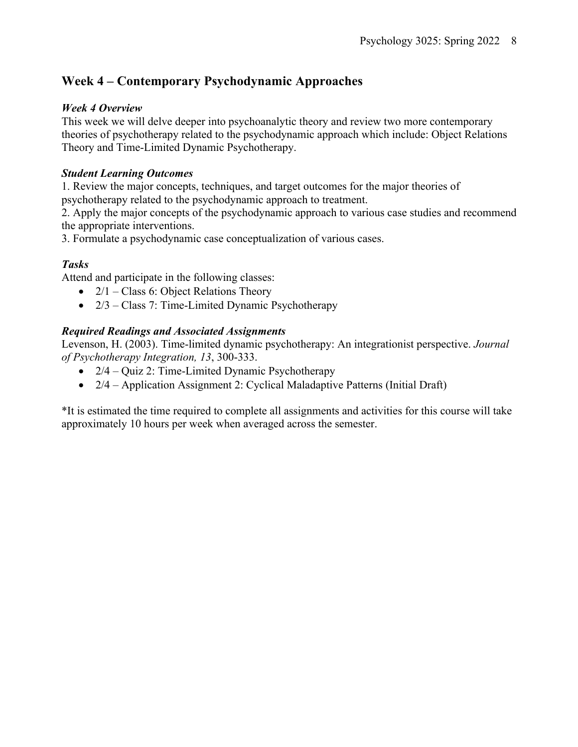## **Week 4 – Contemporary Psychodynamic Approaches**

#### *Week 4 Overview*

This week we will delve deeper into psychoanalytic theory and review two more contemporary theories of psychotherapy related to the psychodynamic approach which include: Object Relations Theory and Time-Limited Dynamic Psychotherapy.

#### *Student Learning Outcomes*

1. Review the major concepts, techniques, and target outcomes for the major theories of psychotherapy related to the psychodynamic approach to treatment.

2. Apply the major concepts of the psychodynamic approach to various case studies and recommend the appropriate interventions.

3. Formulate a psychodynamic case conceptualization of various cases.

#### *Tasks*

Attend and participate in the following classes:

- $2/1$  Class 6: Object Relations Theory
- $2/3$  Class 7: Time-Limited Dynamic Psychotherapy

#### *Required Readings and Associated Assignments*

Levenson, H. (2003). Time-limited dynamic psychotherapy: An integrationist perspective. *Journal of Psychotherapy Integration, 13*, 300-333.

- 2/4 Quiz 2: Time-Limited Dynamic Psychotherapy
- 2/4 Application Assignment 2: Cyclical Maladaptive Patterns (Initial Draft)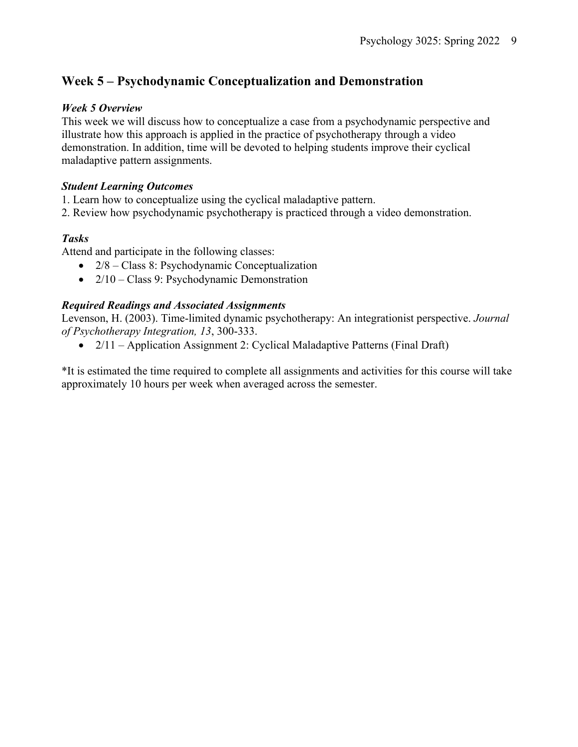# **Week 5 – Psychodynamic Conceptualization and Demonstration**

#### *Week 5 Overview*

This week we will discuss how to conceptualize a case from a psychodynamic perspective and illustrate how this approach is applied in the practice of psychotherapy through a video demonstration. In addition, time will be devoted to helping students improve their cyclical maladaptive pattern assignments.

#### *Student Learning Outcomes*

- 1. Learn how to conceptualize using the cyclical maladaptive pattern.
- 2. Review how psychodynamic psychotherapy is practiced through a video demonstration.

### *Tasks*

Attend and participate in the following classes:

- 2/8 Class 8: Psychodynamic Conceptualization
- 2/10 Class 9: Psychodynamic Demonstration

### *Required Readings and Associated Assignments*

Levenson, H. (2003). Time-limited dynamic psychotherapy: An integrationist perspective. *Journal of Psychotherapy Integration, 13*, 300-333.

• 2/11 – Application Assignment 2: Cyclical Maladaptive Patterns (Final Draft)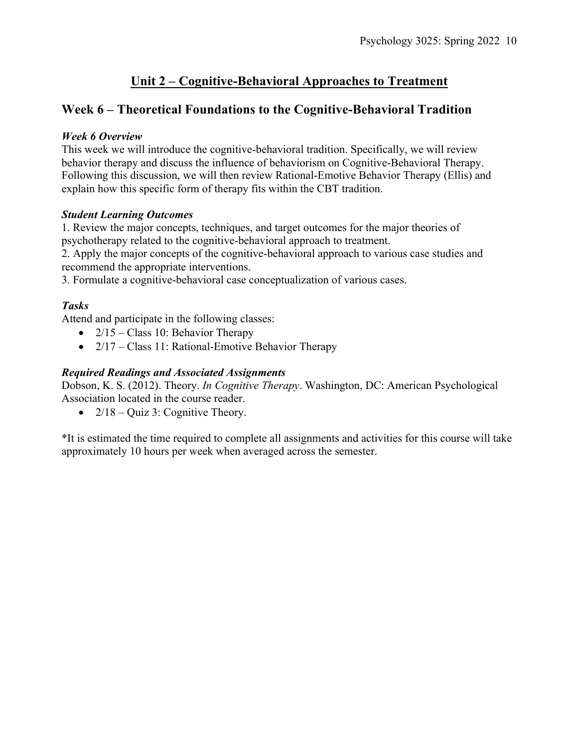# **Unit 2 – Cognitive-Behavioral Approaches to Treatment**

### **Week 6 – Theoretical Foundations to the Cognitive-Behavioral Tradition**

#### *Week 6 Overview*

This week we will introduce the cognitive-behavioral tradition. Specifically, we will review behavior therapy and discuss the influence of behaviorism on Cognitive-Behavioral Therapy. Following this discussion, we will then review Rational-Emotive Behavior Therapy (Ellis) and explain how this specific form of therapy fits within the CBT tradition.

#### *Student Learning Outcomes*

1. Review the major concepts, techniques, and target outcomes for the major theories of psychotherapy related to the cognitive-behavioral approach to treatment.

2. Apply the major concepts of the cognitive-behavioral approach to various case studies and recommend the appropriate interventions.

3. Formulate a cognitive-behavioral case conceptualization of various cases.

#### *Tasks*

Attend and participate in the following classes:

- $2/15 Class 10$ : Behavior Therapy
- 2/17 Class 11: Rational-Emotive Behavior Therapy

#### *Required Readings and Associated Assignments*

Dobson, K. S. (2012). Theory. *In Cognitive Therapy*. Washington, DC: American Psychological Association located in the course reader.

•  $2/18 -$ Quiz 3: Cognitive Theory.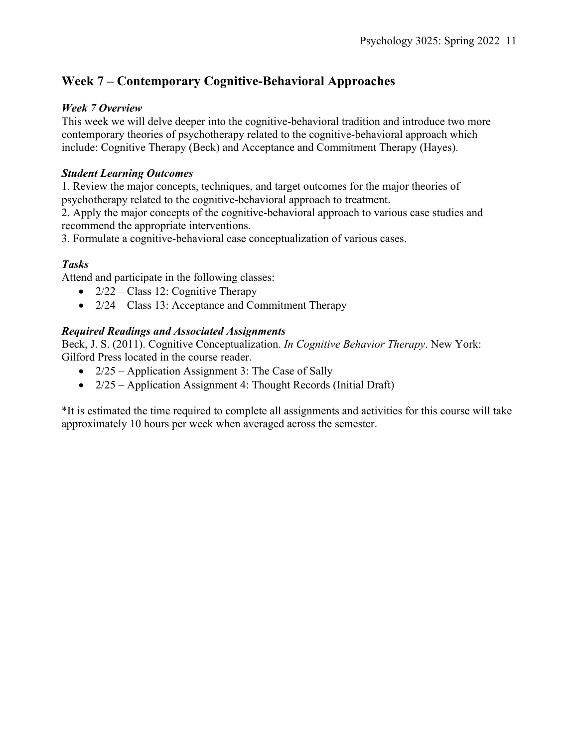# **Week 7 – Contemporary Cognitive-Behavioral Approaches**

#### *Week 7 Overview*

This week we will delve deeper into the cognitive-behavioral tradition and introduce two more contemporary theories of psychotherapy related to the cognitive-behavioral approach which include: Cognitive Therapy (Beck) and Acceptance and Commitment Therapy (Hayes).

#### *Student Learning Outcomes*

1. Review the major concepts, techniques, and target outcomes for the major theories of psychotherapy related to the cognitive-behavioral approach to treatment.

2. Apply the major concepts of the cognitive-behavioral approach to various case studies and recommend the appropriate interventions.

3. Formulate a cognitive-behavioral case conceptualization of various cases.

### *Tasks*

Attend and participate in the following classes:

- $2/22$  Class 12: Cognitive Therapy
- $2/24$  Class 13: Acceptance and Commitment Therapy

#### *Required Readings and Associated Assignments*

Beck, J. S. (2011). Cognitive Conceptualization. *In Cognitive Behavior Therapy*. New York: Gilford Press located in the course reader.

- 2/25 Application Assignment 3: The Case of Sally
- 2/25 Application Assignment 4: Thought Records (Initial Draft)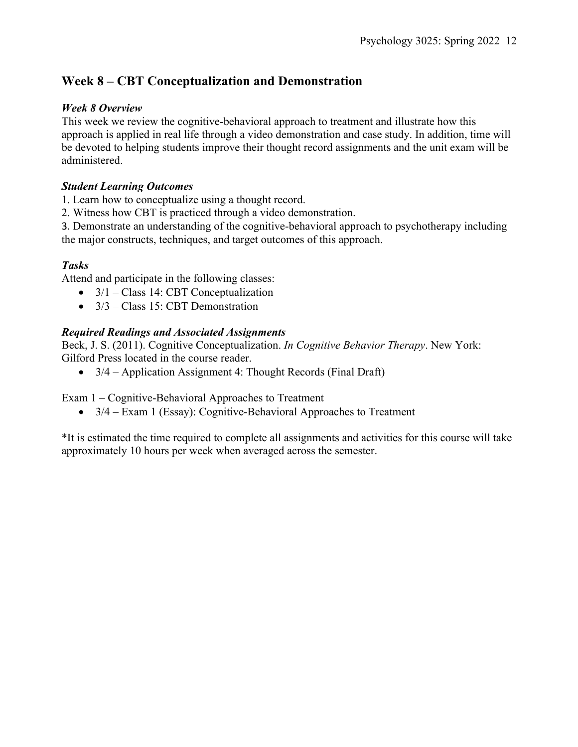### **Week 8 – CBT Conceptualization and Demonstration**

#### *Week 8 Overview*

This week we review the cognitive-behavioral approach to treatment and illustrate how this approach is applied in real life through a video demonstration and case study. In addition, time will be devoted to helping students improve their thought record assignments and the unit exam will be administered.

#### *Student Learning Outcomes*

1. Learn how to conceptualize using a thought record.

2. Witness how CBT is practiced through a video demonstration.

3. Demonstrate an understanding of the cognitive-behavioral approach to psychotherapy including the major constructs, techniques, and target outcomes of this approach.

### *Tasks*

Attend and participate in the following classes:

- 3/1 Class 14: CBT Conceptualization
- 3/3 Class 15: CBT Demonstration

### *Required Readings and Associated Assignments*

Beck, J. S. (2011). Cognitive Conceptualization. *In Cognitive Behavior Therapy*. New York: Gilford Press located in the course reader.

• 3/4 – Application Assignment 4: Thought Records (Final Draft)

Exam 1 – Cognitive-Behavioral Approaches to Treatment

• 3/4 – Exam 1 (Essay): Cognitive-Behavioral Approaches to Treatment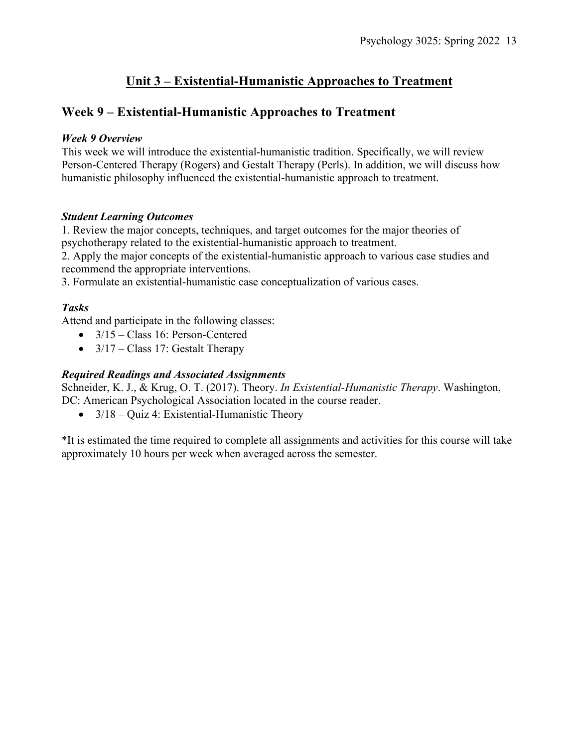### **Unit 3 – Existential-Humanistic Approaches to Treatment**

### **Week 9 – Existential-Humanistic Approaches to Treatment**

#### *Week 9 Overview*

This week we will introduce the existential-humanistic tradition. Specifically, we will review Person-Centered Therapy (Rogers) and Gestalt Therapy (Perls). In addition, we will discuss how humanistic philosophy influenced the existential-humanistic approach to treatment.

#### *Student Learning Outcomes*

1. Review the major concepts, techniques, and target outcomes for the major theories of psychotherapy related to the existential-humanistic approach to treatment.

2. Apply the major concepts of the existential-humanistic approach to various case studies and recommend the appropriate interventions.

3. Formulate an existential-humanistic case conceptualization of various cases.

#### *Tasks*

Attend and participate in the following classes:

- 3/15 Class 16: Person-Centered
- $3/17 Class 17$ : Gestalt Therapy

#### *Required Readings and Associated Assignments*

Schneider, K. J., & Krug, O. T. (2017). Theory. *In Existential-Humanistic Therapy*. Washington, DC: American Psychological Association located in the course reader.

• 3/18 – Quiz 4: Existential-Humanistic Theory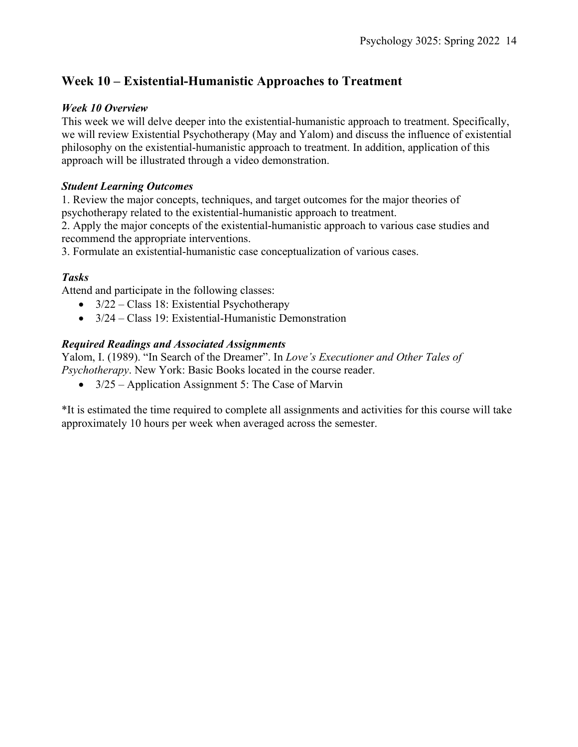# **Week 10 – Existential-Humanistic Approaches to Treatment**

#### *Week 10 Overview*

This week we will delve deeper into the existential-humanistic approach to treatment. Specifically, we will review Existential Psychotherapy (May and Yalom) and discuss the influence of existential philosophy on the existential-humanistic approach to treatment. In addition, application of this approach will be illustrated through a video demonstration.

#### *Student Learning Outcomes*

1. Review the major concepts, techniques, and target outcomes for the major theories of psychotherapy related to the existential-humanistic approach to treatment.

2. Apply the major concepts of the existential-humanistic approach to various case studies and recommend the appropriate interventions.

3. Formulate an existential-humanistic case conceptualization of various cases.

### *Tasks*

Attend and participate in the following classes:

- 3/22 Class 18: Existential Psychotherapy
- 3/24 Class 19: Existential-Humanistic Demonstration

#### *Required Readings and Associated Assignments*

Yalom, I. (1989). "In Search of the Dreamer". In *Love's Executioner and Other Tales of Psychotherapy*. New York: Basic Books located in the course reader.

• 3/25 – Application Assignment 5: The Case of Marvin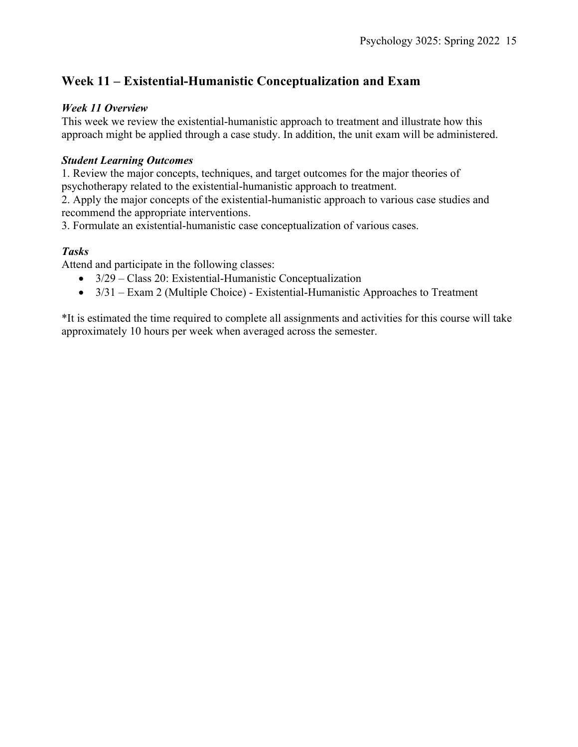### **Week 11 – Existential-Humanistic Conceptualization and Exam**

#### *Week 11 Overview*

This week we review the existential-humanistic approach to treatment and illustrate how this approach might be applied through a case study. In addition, the unit exam will be administered.

#### *Student Learning Outcomes*

1. Review the major concepts, techniques, and target outcomes for the major theories of psychotherapy related to the existential-humanistic approach to treatment.

2. Apply the major concepts of the existential-humanistic approach to various case studies and recommend the appropriate interventions.

3. Formulate an existential-humanistic case conceptualization of various cases.

#### *Tasks*

Attend and participate in the following classes:

- 3/29 Class 20: Existential-Humanistic Conceptualization
- $3/31 Exam 2$  (Multiple Choice) Existential-Humanistic Approaches to Treatment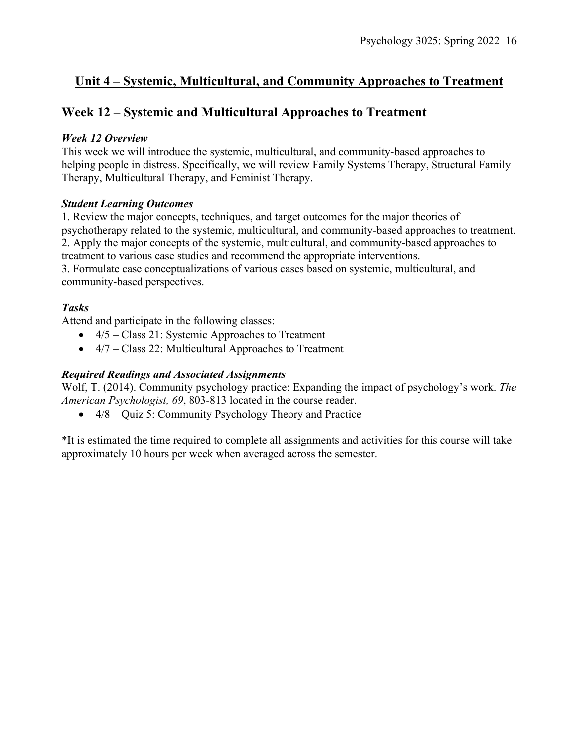### **Unit 4 – Systemic, Multicultural, and Community Approaches to Treatment**

### **Week 12 – Systemic and Multicultural Approaches to Treatment**

#### *Week 12 Overview*

This week we will introduce the systemic, multicultural, and community-based approaches to helping people in distress. Specifically, we will review Family Systems Therapy, Structural Family Therapy, Multicultural Therapy, and Feminist Therapy.

#### *Student Learning Outcomes*

1. Review the major concepts, techniques, and target outcomes for the major theories of psychotherapy related to the systemic, multicultural, and community-based approaches to treatment. 2. Apply the major concepts of the systemic, multicultural, and community-based approaches to treatment to various case studies and recommend the appropriate interventions.

3. Formulate case conceptualizations of various cases based on systemic, multicultural, and community-based perspectives.

#### *Tasks*

Attend and participate in the following classes:

- $4/5$  Class 21: Systemic Approaches to Treatment
- 4/7 Class 22: Multicultural Approaches to Treatment

#### *Required Readings and Associated Assignments*

Wolf, T. (2014). Community psychology practice: Expanding the impact of psychology's work. *The American Psychologist, 69*, 803-813 located in the course reader.

• 4/8 – Quiz 5: Community Psychology Theory and Practice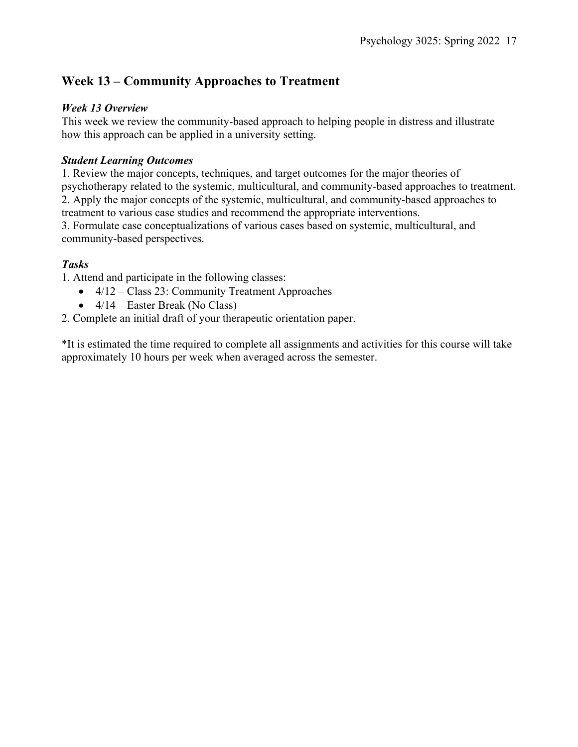# **Week 13 – Community Approaches to Treatment**

### *Week 13 Overview*

This week we review the community-based approach to helping people in distress and illustrate how this approach can be applied in a university setting.

#### *Student Learning Outcomes*

1. Review the major concepts, techniques, and target outcomes for the major theories of psychotherapy related to the systemic, multicultural, and community-based approaches to treatment. 2. Apply the major concepts of the systemic, multicultural, and community-based approaches to treatment to various case studies and recommend the appropriate interventions.

3. Formulate case conceptualizations of various cases based on systemic, multicultural, and community-based perspectives.

### *Tasks*

1. Attend and participate in the following classes:

- $\bullet$  4/12 Class 23: Community Treatment Approaches
- $4/14$  Easter Break (No Class)
- 2. Complete an initial draft of your therapeutic orientation paper.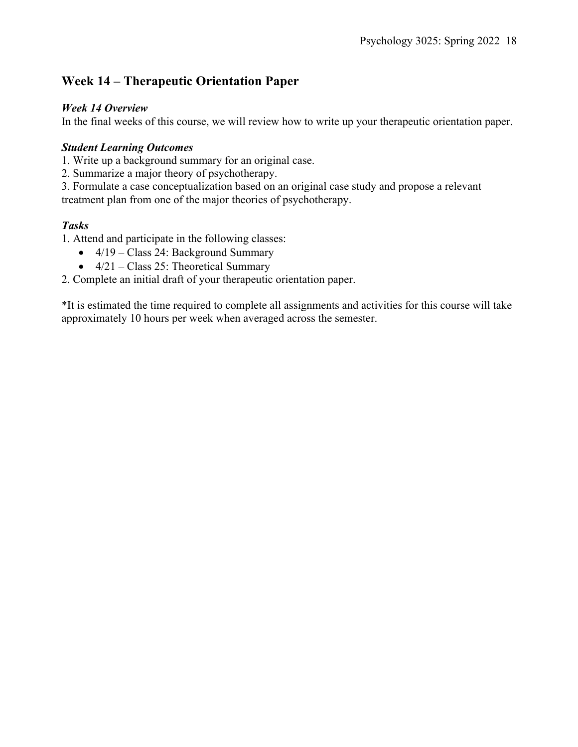### **Week 14 – Therapeutic Orientation Paper**

#### *Week 14 Overview*

In the final weeks of this course, we will review how to write up your therapeutic orientation paper.

#### *Student Learning Outcomes*

1. Write up a background summary for an original case.

2. Summarize a major theory of psychotherapy.

3. Formulate a case conceptualization based on an original case study and propose a relevant treatment plan from one of the major theories of psychotherapy.

### *Tasks*

1. Attend and participate in the following classes:

- 4/19 Class 24: Background Summary
- $4/21 Class 25$ : Theoretical Summary

2. Complete an initial draft of your therapeutic orientation paper.